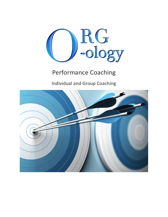

# Performance Coaching

Individual and Group Coaching

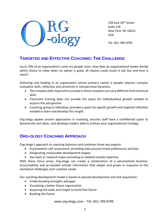

120 East 34<sup>th</sup> Street Suite 11K New York, NY 10016 USA

Tel: 301-789-9795

## **TARGETED AND EFFECTIVE COACHING: THE CHALLENGE**

Up to 70% of an organization's costs are people costs. How does an organizational leader decide which choice to make when no option is good, all choices could result in job loss and time is short?

Achieving and leading in an organization whose primary capital is people requires complex evaluative skills, reflection and sensitivity in interpersonal dynamics.

- The complex skills required to succeed in these situations are very different from technical skills
- Classroom training does not provide the space for individualized growth needed to acquire this perspective
- Coaching, group or individual, provides a space for specific growth and targeted reflection needed to learn and develop this insight.

Org-ology applies proven approaches in coaching, ensures staff have a confidential space to dynamically test ideas, and develops leaders able to achieve your organizational strategy.

### **ORG-OLOGY COACHING APPROACH**

Org-ology's approach to coaching balances and combines three key aspects:

- Psychometric self-assessment, providing data around innate preferences and bias
- Designating measurable development targets
- Key tools or research topics providing as-needed outside expertise

With these focus areas, Org-ology can create a combination of a personalized baseline, accountability and as-needed outside information that adapts and grows in response to the workplace challenges each coachee needs.

Our coaching development model is based on phased development and skill acquisition:

- Understanding strengths and gaps
- Visualizing a better future organization
- Acquiring the tools and insight to build that future
- Building the future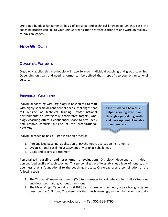Org-ology builds a fundamental basis of personal and technical knowledge. On this basis the coaching process can link to your unique organization's strategic priorities and work on real dayto-day challenges.

## **HOW WE DO IT**

#### **COACHING FORMATS**

Org-ology applies this methodology in two formats: individual coaching and group coaching. Depending on goals and need, a format can be defined that is specific to your organizational culture.

#### **INDIVIDUAL COACHING**

Individual coaching with Org-ology is best suited to staff with highly specific or confidential needs, challenges that fall outside of technical training, cross-functional environments or strategically accelerated targets. Orgology coaching offers a confidential space to test ideas and resolve conflicts outside of the organizational hierarchy.

**Case Study: See how this helped a young executive through a period of growth and development. Available on our website**

Individual coaching has a 3-step initiation process:

- 1. Personalized baseline: application of psychometric evaluation instruments
- 2. Organizational baseline: assessment of workplace challenges
- 3. Goals and progress agreement

**Personalized baseline and psychometric evaluation:** Org-ology develops an in-depth personalized profile of each coachee. This personalized profile establishes a level of honesty and openness that is foundational to the coaching process. Org-ology uses a combination of the following tools:

- 1. The Thomas-Kilmann Instrument (TKI) tool assesses typical behavior in conflict situations and describes it along various dimensions
- 2. The Myers-Briggs Type Indicator (MBTI) tool is based on the theory of psychological types described by C. G. Jung. The essence is that much seemingly random behavior is actually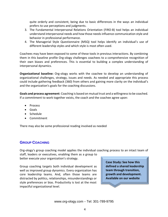quite orderly and consistent, being due to basic differences in the ways an individual prefers to use perceptions and judgments.

- 3. The Fundamental Interpersonal Relations Orientation (FIRO-B) tool helps an individual understand interpersonal needs and how those needs influence communication style and behavior in professional performance.
- 4. The Managerial Style Questionnaire (MSQ) tool helps identify an individual's use of different leadership styles and which style is most often used.

Coachees may have been exposed to some of these tools in previous interactions. By combining them in this baseline profile Org-ology challenges coachees to a comprehensive recognition of their own biases and preferences. This is essential to building a complex understanding of interpersonal dynamics.

**Organizational baseline:** Org-ology works with the coachee to develop an understanding of organizational challenges, strategy, issues and needs. As needed and appropriate this process could include gathering feedback (360) from others and gaining more clarity on the individual's and the organization's goals for the coaching discussions.

**Goals and process agreement**: Coaching is based on mutual trust and a willingness to be coached. If a commitment to work together exists, the coach and the coachee agree upon:

- Process
- Goals
- Schedule
- Commitment

There may also be some professional reading involved as needed

### **GROUP COACHING**

Org-ology's group coaching model applies the individual coaching process to an intact team of

staff, leaders or executives, enabling them as a group to better execute your organization's strategy.

Group coaching targets both individual development as well as improved group dynamics. Every organization has core leadership teams. And, often those teams are distracted by politics, relationships, misunderstandings or style preferences or bias. Productivity is lost at the most impactful organizational level.

**Case Study: See how this defined a shared leadership team through transition, growth and development. Available on our website**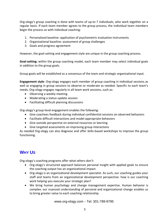Org-ology's group coaching is done with teams of up-to 7 individuals, who work together on a regular basis. If each team member agrees to the group process, the individual team members begin the process as with individual coaching:

- 1. Personalized baseline: application of psychometric evaluation instruments
- 2. Organizational baseline: assessment of group challenges
- 3. Goals and progress agreement

However, the goal-setting and engagement style are unique in the group coaching process.

**Goal-setting:** within the group coaching model, each team member may select individual goals in addition to the group goals.

Group goals will be established as a consensus of the team and strategic organizational input.

**Engagement style**: Org-ology engages each member of group coaching in individual sessions as well as engaging in group sessions to observe or moderate as needed. Specific to each team's needs, Org-ology engages regularly in all-team work sessions, such as:

- Observing a weekly meeting
- Moderating a status-update session
- Facilitating difficult planning discussions

Org-ology's group-level engagement enables the following:

- Give coachees feedback during individual confidential sessions on observed behaviors
- Facilitate difficult interactions and model appropriate behaviors
- Give outside perspective on external resources or learning
- Give targeted assessments on improving group interactions

As needed Org-ology can also diagnose and offer skills-based workshops to improve the group functioning.

# **WHY US**

Org-ology's coaching programs offer what others don't:

- Org-ology's structured approach balances personal insight with applied goals to ensure the coaching output has an organizational impact.
- Org-ology is an organizational development specialist. As such, our coaching guides your staff and teams from an organizational development perspective: how is our coaching work helping you execute your strategic plan?
- We bring human psychology and change management expertise. Human behavior is complex: our nuanced understanding of personal and organizational change enables us to bring greater value to each coaching relationship.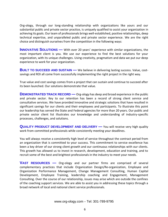Org-ology, through our long-standing relationship with organizations like yours and our substantial public and private sector practice, is uniquely qualified to assist your organization in achieving its goals. Our team of professionals brings well-established, positive relationships, deep technical expertise, and unparalleled public and private sector experience. We are the right choice and distinguish ourselves from the competition in the following ways:

**INNOVATIVE SOLUTIONS** — With over 20 years' experience with similar organizations, the most important client is you. We use our experience to find the best solutions for your organization, with its unique challenges. Using creativity, pragmatism and data we put our deep experience to work for your organization.

**BUILT TO SUCCEED AND SUSTAIN —** We believe in delivering lasting success. Value, costsavings and ROI all come from successfully implementing the right project in the right way.

True value and cost savings comes from a project that can sustain and continue to succeed after its been launched. Our solutions demonstrate that value.

**DEMONSTRATED TRACK RECORD —** Org-ology has deep and broad experience in the public and private sector. Key to our retention has been a record of strong client service and consultative services. We have provided innovative and strategic solutions that have resulted in significant savings for our clients and their employees and participants. To illustrate this point our leadership has served the State and Federal agencies for more than 20 years. Our public and private sector client list illustrates our knowledge and understanding of industry-specific processes, challenges, and solutions.

**QUALITY PRODUCT DEVELOPMENT AND DELIVERY —** You will receive very high quality work from committed professionals while consistently meeting your deadlines.

You will always receive a consistently high level of service throughout the contract period from an organization that is committed to your success. This commitment to service excellence has been a key driver of our strong client growth and our continuous relationships with our clients. This growth has allowed us to invest in research, development, education and training, and to recruit some of the best and brightest professionals in the industry to meet your needs.

**VAST RESOURCES —** Org-ology and our partner firms are comprised of several complementary practices that include Organization Design/Re-organization, Employee and Organization Performance Management, Change Management Consulting, Human Capital Development, Employee Training, leadership coaching and Engagement, Management Consulting. Over the course of our relationship, issues may arise which are outside the confines of the coaching support services. We are able to assist you in addressing these topics through a broad network of local and national client service professionals.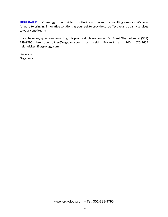**HIGH VALUE —** Org-ology is committed to offering you value in consulting services. We look forward to bringing innovative solutions as you seek to provide cost-effective and quality services to your constituents.

If you have any questions regarding this proposal, please contact Dr. Brent Oberholtzer at (301) 789-9795 brentoberholtzer@org-ology.com or Heidi Feickert at (240) 620-3655 heidifeickert@org-ology.com.

Sincerely, Org-ology